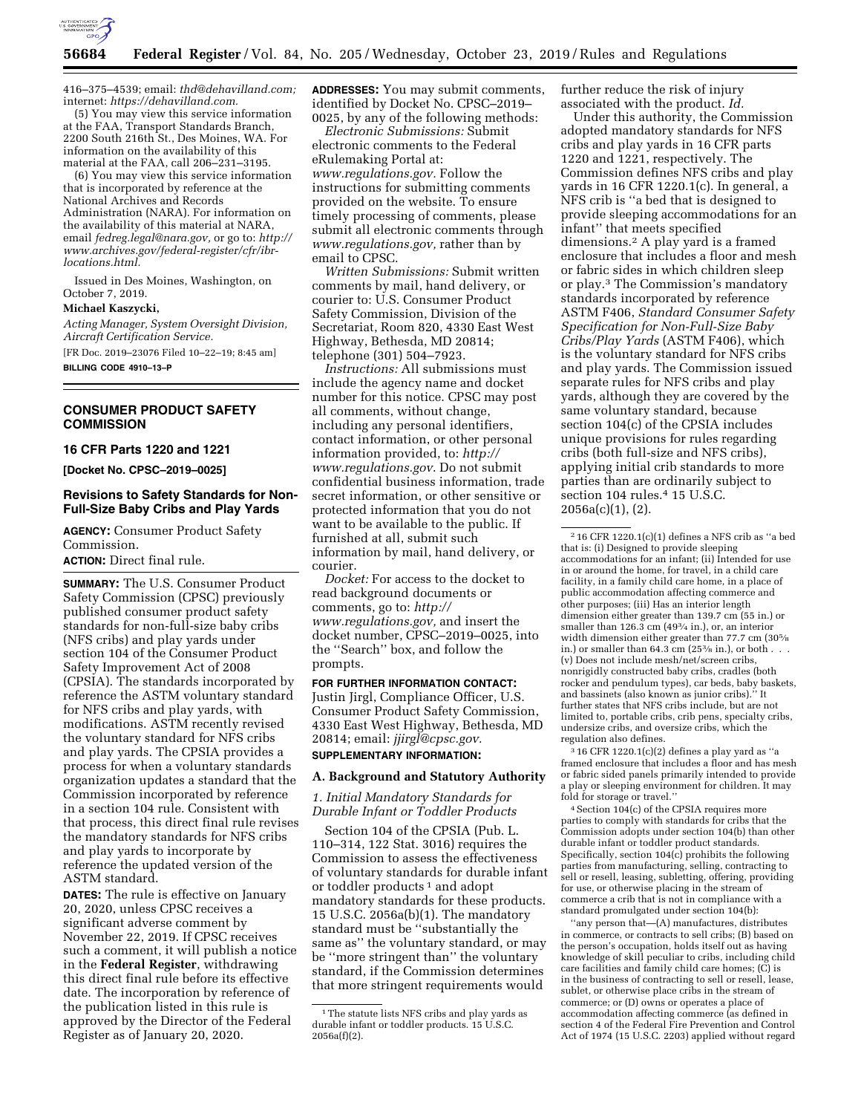

416–375–4539; email: *[thd@dehavilland.com;](mailto:thd@dehavilland.com)*  internet: *[https://dehavilland.com.](https://dehavilland.com)* 

(5) You may view this service information at the FAA, Transport Standards Branch, 2200 South 216th St., Des Moines, WA. For information on the availability of this material at the FAA, call 206–231–3195.

(6) You may view this service information that is incorporated by reference at the National Archives and Records Administration (NARA). For information on the availability of this material at NARA, email *[fedreg.legal@nara.gov,](mailto:fedreg.legal@nara.gov)* or go to: *[http://](http://www.archives.gov/federal-register/cfr/ibr-locations.html)  [www.archives.gov/federal-register/cfr/ibr](http://www.archives.gov/federal-register/cfr/ibr-locations.html)[locations.html.](http://www.archives.gov/federal-register/cfr/ibr-locations.html)* 

Issued in Des Moines, Washington, on October 7, 2019.

## **Michael Kaszycki,**

*Acting Manager, System Oversight Division, Aircraft Certification Service.* 

[FR Doc. 2019–23076 Filed 10–22–19; 8:45 am]

**BILLING CODE 4910–13–P** 

## **CONSUMER PRODUCT SAFETY COMMISSION**

# **16 CFR Parts 1220 and 1221**

**[Docket No. CPSC–2019–0025]** 

## **Revisions to Safety Standards for Non-Full-Size Baby Cribs and Play Yards**

**AGENCY:** Consumer Product Safety Commission.

**ACTION:** Direct final rule.

**SUMMARY:** The U.S. Consumer Product Safety Commission (CPSC) previously published consumer product safety standards for non-full-size baby cribs (NFS cribs) and play yards under section 104 of the Consumer Product Safety Improvement Act of 2008 (CPSIA). The standards incorporated by reference the ASTM voluntary standard for NFS cribs and play yards, with modifications. ASTM recently revised the voluntary standard for NFS cribs and play yards. The CPSIA provides a process for when a voluntary standards organization updates a standard that the Commission incorporated by reference in a section 104 rule. Consistent with that process, this direct final rule revises the mandatory standards for NFS cribs and play yards to incorporate by reference the updated version of the ASTM standard.

**DATES:** The rule is effective on January 20, 2020, unless CPSC receives a significant adverse comment by November 22, 2019. If CPSC receives such a comment, it will publish a notice in the **Federal Register**, withdrawing this direct final rule before its effective date. The incorporation by reference of the publication listed in this rule is approved by the Director of the Federal Register as of January 20, 2020.

**ADDRESSES:** You may submit comments, identified by Docket No. CPSC–2019– 0025, by any of the following methods:

*Electronic Submissions:* Submit electronic comments to the Federal eRulemaking Portal at: *[www.regulations.gov.](http://www.regulations.gov)* Follow the instructions for submitting comments provided on the website. To ensure timely processing of comments, please submit all electronic comments through *[www.regulations.gov,](http://www.regulations.gov)* rather than by email to CPSC.

*Written Submissions:* Submit written comments by mail, hand delivery, or courier to: U.S. Consumer Product Safety Commission, Division of the Secretariat, Room 820, 4330 East West Highway, Bethesda, MD 20814; telephone (301) 504–7923.

*Instructions:* All submissions must include the agency name and docket number for this notice. CPSC may post all comments, without change, including any personal identifiers, contact information, or other personal information provided, to: *[http://](http://www.regulations.gov) [www.regulations.gov](http://www.regulations.gov)*. Do not submit confidential business information, trade secret information, or other sensitive or protected information that you do not want to be available to the public. If furnished at all, submit such information by mail, hand delivery, or courier.

*Docket:* For access to the docket to read background documents or comments, go to: *[http://](http://www.regulations.gov) [www.regulations.gov,](http://www.regulations.gov)* and insert the docket number, CPSC–2019–0025, into the ''Search'' box, and follow the prompts.

**FOR FURTHER INFORMATION CONTACT:**  Justin Jirgl, Compliance Officer, U.S. Consumer Product Safety Commission, 4330 East West Highway, Bethesda, MD 20814; email: *[jjirgl@cpsc.gov.](mailto:jjirgl@cpsc.gov)*  **SUPPLEMENTARY INFORMATION:** 

#### **A. Background and Statutory Authority**

*1. Initial Mandatory Standards for Durable Infant or Toddler Products* 

Section 104 of the CPSIA (Pub. L. 110–314, 122 Stat. 3016) requires the Commission to assess the effectiveness of voluntary standards for durable infant or toddler products 1 and adopt mandatory standards for these products. 15 U.S.C. 2056a(b)(1). The mandatory standard must be ''substantially the same as'' the voluntary standard, or may be ''more stringent than'' the voluntary standard, if the Commission determines that more stringent requirements would

further reduce the risk of injury associated with the product. *Id.* 

Under this authority, the Commission adopted mandatory standards for NFS cribs and play yards in 16 CFR parts 1220 and 1221, respectively. The Commission defines NFS cribs and play yards in 16 CFR 1220.1(c). In general, a NFS crib is ''a bed that is designed to provide sleeping accommodations for an infant'' that meets specified dimensions.2 A play yard is a framed enclosure that includes a floor and mesh or fabric sides in which children sleep or play.3 The Commission's mandatory standards incorporated by reference ASTM F406, *Standard Consumer Safety Specification for Non-Full-Size Baby Cribs/Play Yards* (ASTM F406), which is the voluntary standard for NFS cribs and play yards. The Commission issued separate rules for NFS cribs and play yards, although they are covered by the same voluntary standard, because section 104(c) of the CPSIA includes unique provisions for rules regarding cribs (both full-size and NFS cribs), applying initial crib standards to more parties than are ordinarily subject to section 104 rules.<sup>4</sup> 15 U.S.C.  $2056a(c)(1)$ ,  $(2)$ .

 $316$  CFR 1220.1(c)(2) defines a play yard as "a framed enclosure that includes a floor and has mesh or fabric sided panels primarily intended to provide a play or sleeping environment for children. It may fold for storage or travel.''

4Section 104(c) of the CPSIA requires more parties to comply with standards for cribs that the Commission adopts under section 104(b) than other durable infant or toddler product standards. Specifically, section 104(c) prohibits the following parties from manufacturing, selling, contracting to sell or resell, leasing, subletting, offering, providing for use, or otherwise placing in the stream of commerce a crib that is not in compliance with a standard promulgated under section 104(b):

''any person that—(A) manufactures, distributes in commerce, or contracts to sell cribs; (B) based on the person's occupation, holds itself out as having knowledge of skill peculiar to cribs, including child care facilities and family child care homes; (C) is in the business of contracting to sell or resell, lease, sublet, or otherwise place cribs in the stream of commerce; or (D) owns or operates a place of accommodation affecting commerce (as defined in section 4 of the Federal Fire Prevention and Control Act of 1974 (15 U.S.C. 2203) applied without regard

<sup>&</sup>lt;sup>1</sup>The statute lists NFS cribs and play yards as durable infant or toddler products. 15 U.S.C. 2056a(f)(2).

 $216$  CFR 1220.1(c)(1) defines a NFS crib as "a bed that is: (i) Designed to provide sleeping accommodations for an infant; (ii) Intended for use in or around the home, for travel, in a child care facility, in a family child care home, in a place of public accommodation affecting commerce and other purposes; (iii) Has an interior length dimension either greater than 139.7 cm (55 in.) or smaller than 126.3 cm (493⁄4 in.), or, an interior width dimension either greater than 77.7 cm (305⁄8 in.) or smaller than  $64.3 \text{ cm}$  ( $25\%$  in.), or both . (v) Does not include mesh/net/screen cribs, nonrigidly constructed baby cribs, cradles (both rocker and pendulum types), car beds, baby baskets, and bassinets (also known as junior cribs).'' It further states that NFS cribs include, but are not limited to, portable cribs, crib pens, specialty cribs, undersize cribs, and oversize cribs, which the regulation also defines.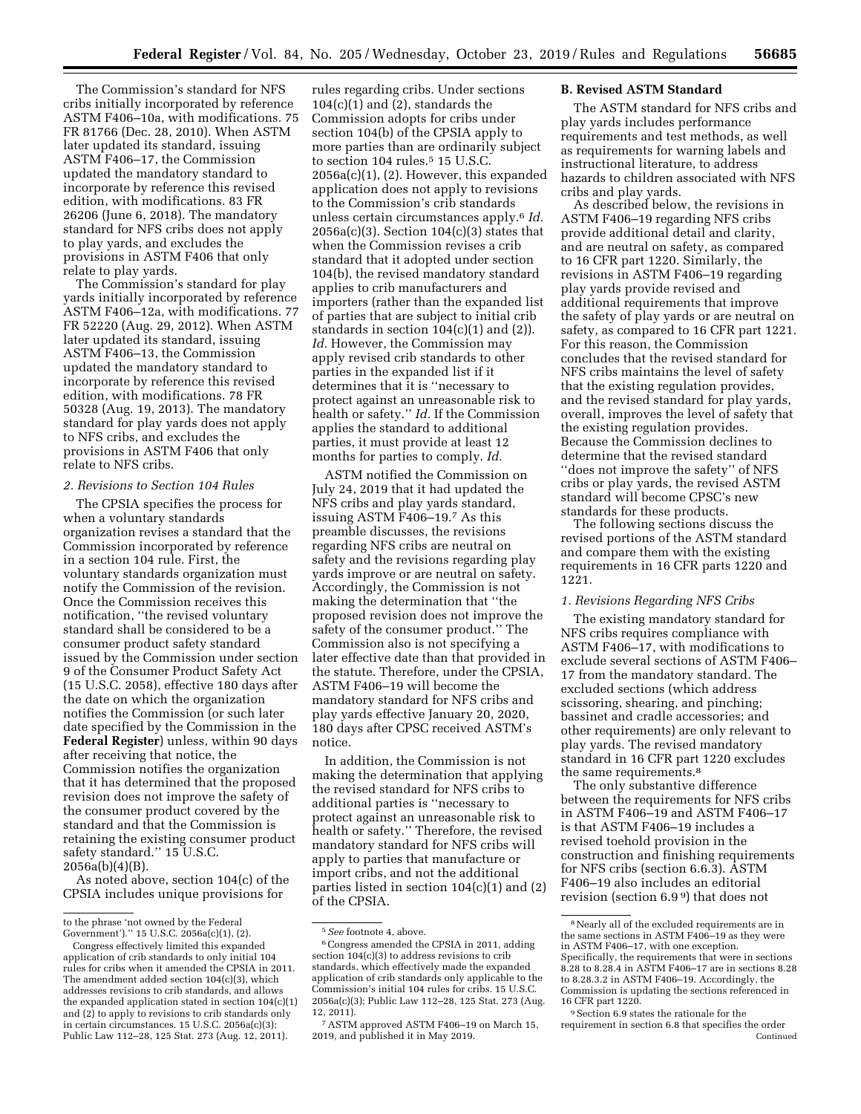The Commission's standard for NFS cribs initially incorporated by reference ASTM F406–10a, with modifications. 75 FR 81766 (Dec. 28, 2010). When ASTM later updated its standard, issuing ASTM F406–17, the Commission updated the mandatory standard to incorporate by reference this revised edition, with modifications. 83 FR 26206 (June 6, 2018). The mandatory standard for NFS cribs does not apply to play yards, and excludes the provisions in ASTM F406 that only relate to play yards.

The Commission's standard for play yards initially incorporated by reference ASTM F406–12a, with modifications. 77 FR 52220 (Aug. 29, 2012). When ASTM later updated its standard, issuing ASTM F406–13, the Commission updated the mandatory standard to incorporate by reference this revised edition, with modifications. 78 FR 50328 (Aug. 19, 2013). The mandatory standard for play yards does not apply to NFS cribs, and excludes the provisions in ASTM F406 that only relate to NFS cribs.

# *2. Revisions to Section 104 Rules*

The CPSIA specifies the process for when a voluntary standards organization revises a standard that the Commission incorporated by reference in a section 104 rule. First, the voluntary standards organization must notify the Commission of the revision. Once the Commission receives this notification, ''the revised voluntary standard shall be considered to be a consumer product safety standard issued by the Commission under section 9 of the Consumer Product Safety Act (15 U.S.C. 2058), effective 180 days after the date on which the organization notifies the Commission (or such later date specified by the Commission in the **Federal Register**) unless, within 90 days after receiving that notice, the Commission notifies the organization that it has determined that the proposed revision does not improve the safety of the consumer product covered by the standard and that the Commission is retaining the existing consumer product safety standard." 15 U.S.C. 2056a(b)(4)(B).

As noted above, section 104(c) of the CPSIA includes unique provisions for

rules regarding cribs. Under sections 104(c)(1) and (2), standards the Commission adopts for cribs under section 104(b) of the CPSIA apply to more parties than are ordinarily subject to section 104 rules.<sup>5</sup> 15 U.S.C. 2056a(c)(1), (2). However, this expanded application does not apply to revisions to the Commission's crib standards unless certain circumstances apply.6 *Id.*   $2056a(c)(3)$ . Section  $104(c)(3)$  states that when the Commission revises a crib standard that it adopted under section 104(b), the revised mandatory standard applies to crib manufacturers and importers (rather than the expanded list of parties that are subject to initial crib standards in section  $104(c)(1)$  and  $(2)$ ). *Id.* However, the Commission may apply revised crib standards to other parties in the expanded list if it determines that it is ''necessary to protect against an unreasonable risk to health or safety.'' *Id.* If the Commission applies the standard to additional parties, it must provide at least 12 months for parties to comply. *Id.* 

ASTM notified the Commission on July 24, 2019 that it had updated the NFS cribs and play yards standard, issuing ASTM F406–19.7 As this preamble discusses, the revisions regarding NFS cribs are neutral on safety and the revisions regarding play yards improve or are neutral on safety. Accordingly, the Commission is not making the determination that ''the proposed revision does not improve the safety of the consumer product.'' The Commission also is not specifying a later effective date than that provided in the statute. Therefore, under the CPSIA, ASTM F406–19 will become the mandatory standard for NFS cribs and play yards effective January 20, 2020, 180 days after CPSC received ASTM's notice.

In addition, the Commission is not making the determination that applying the revised standard for NFS cribs to additional parties is ''necessary to protect against an unreasonable risk to health or safety.'' Therefore, the revised mandatory standard for NFS cribs will apply to parties that manufacture or import cribs, and not the additional parties listed in section 104(c)(1) and (2) of the CPSIA.

# **B. Revised ASTM Standard**

The ASTM standard for NFS cribs and play yards includes performance requirements and test methods, as well as requirements for warning labels and instructional literature, to address hazards to children associated with NFS cribs and play yards.

As described below, the revisions in ASTM F406–19 regarding NFS cribs provide additional detail and clarity, and are neutral on safety, as compared to 16 CFR part 1220. Similarly, the revisions in ASTM F406–19 regarding play yards provide revised and additional requirements that improve the safety of play yards or are neutral on safety, as compared to 16 CFR part 1221. For this reason, the Commission concludes that the revised standard for NFS cribs maintains the level of safety that the existing regulation provides, and the revised standard for play yards, overall, improves the level of safety that the existing regulation provides. Because the Commission declines to determine that the revised standard ''does not improve the safety'' of NFS cribs or play yards, the revised ASTM standard will become CPSC's new standards for these products.

The following sections discuss the revised portions of the ASTM standard and compare them with the existing requirements in 16 CFR parts 1220 and 1221.

## *1. Revisions Regarding NFS Cribs*

The existing mandatory standard for NFS cribs requires compliance with ASTM F406–17, with modifications to exclude several sections of ASTM F406– 17 from the mandatory standard. The excluded sections (which address scissoring, shearing, and pinching; bassinet and cradle accessories; and other requirements) are only relevant to play yards. The revised mandatory standard in 16 CFR part 1220 excludes the same requirements.8

The only substantive difference between the requirements for NFS cribs in ASTM F406–19 and ASTM F406–17 is that ASTM F406–19 includes a revised toehold provision in the construction and finishing requirements for NFS cribs (section 6.6.3). ASTM F406–19 also includes an editorial revision (section 6.9 9) that does not

to the phrase 'not owned by the Federal Government').'' 15 U.S.C. 2056a(c)(1), (2).

Congress effectively limited this expanded application of crib standards to only initial 104 rules for cribs when it amended the CPSIA in 2011. The amendment added section 104(c)(3), which addresses revisions to crib standards, and allows the expanded application stated in section 104(c)(1) and (2) to apply to revisions to crib standards only in certain circumstances. 15 U.S.C. 2056a(c)(3); Public Law 112–28, 125 Stat. 273 (Aug. 12, 2011).

<sup>5</sup>*See* footnote 4, above.

<sup>6</sup>Congress amended the CPSIA in 2011, adding section 104(c)(3) to address revisions to crib standards, which effectively made the expanded application of crib standards only applicable to the Commission's initial 104 rules for cribs. 15 U.S.C. 2056a(c)(3); Public Law 112–28, 125 Stat. 273 (Aug. 12, 2011).

<sup>7</sup>ASTM approved ASTM F406–19 on March 15, 2019, and published it in May 2019.

<sup>8</sup>Nearly all of the excluded requirements are in the same sections in ASTM F406–19 as they were in ASTM F406–17, with one exception. Specifically, the requirements that were in sections 8.28 to 8.28.4 in ASTM F406–17 are in sections 8.28 to 8.28.3.2 in ASTM F406–19. Accordingly, the Commission is updating the sections referenced in 16 CFR part 1220.

<sup>9</sup>Section 6.9 states the rationale for the requirement in section 6.8 that specifies the order Continued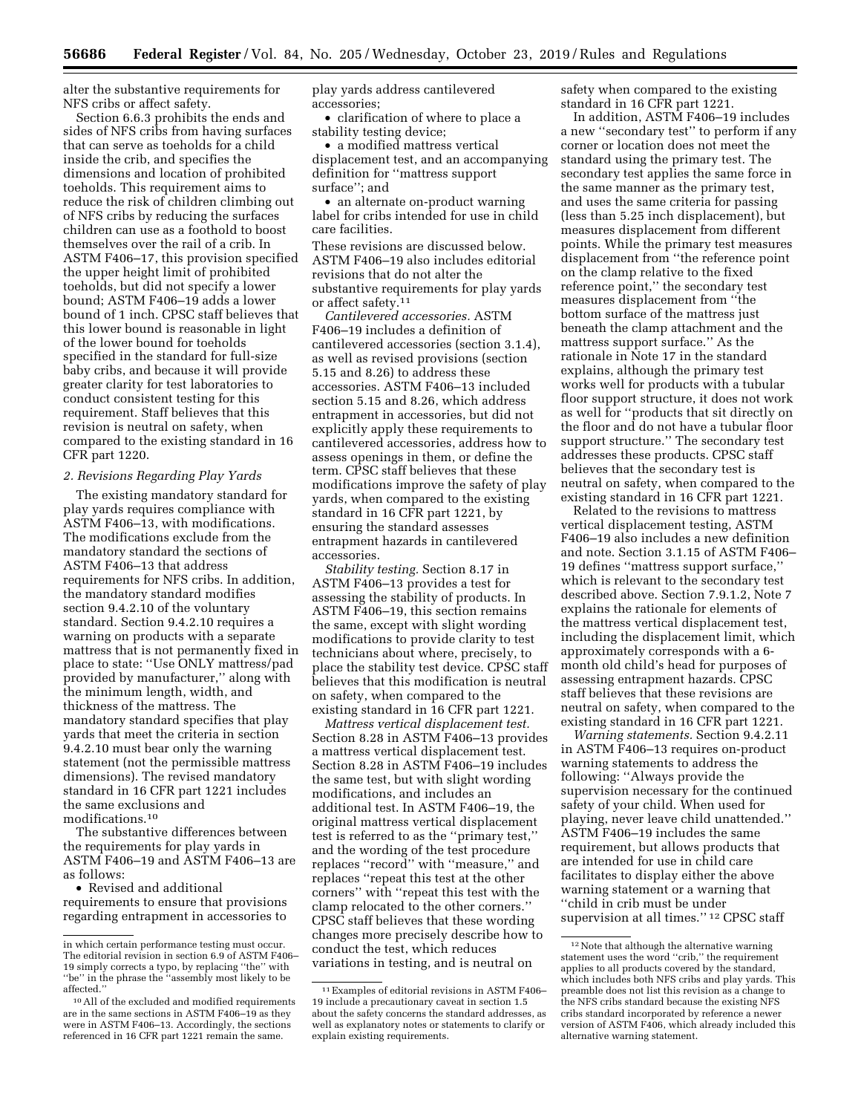alter the substantive requirements for NFS cribs or affect safety.

Section 6.6.3 prohibits the ends and sides of NFS cribs from having surfaces that can serve as toeholds for a child inside the crib, and specifies the dimensions and location of prohibited toeholds. This requirement aims to reduce the risk of children climbing out of NFS cribs by reducing the surfaces children can use as a foothold to boost themselves over the rail of a crib. In ASTM F406–17, this provision specified the upper height limit of prohibited toeholds, but did not specify a lower bound; ASTM F406–19 adds a lower bound of 1 inch. CPSC staff believes that this lower bound is reasonable in light of the lower bound for toeholds specified in the standard for full-size baby cribs, and because it will provide greater clarity for test laboratories to conduct consistent testing for this requirement. Staff believes that this revision is neutral on safety, when compared to the existing standard in 16 CFR part 1220.

### *2. Revisions Regarding Play Yards*

The existing mandatory standard for play yards requires compliance with ASTM F406–13, with modifications. The modifications exclude from the mandatory standard the sections of ASTM F406–13 that address requirements for NFS cribs. In addition, the mandatory standard modifies section 9.4.2.10 of the voluntary standard. Section 9.4.2.10 requires a warning on products with a separate mattress that is not permanently fixed in place to state: ''Use ONLY mattress/pad provided by manufacturer,'' along with the minimum length, width, and thickness of the mattress. The mandatory standard specifies that play yards that meet the criteria in section 9.4.2.10 must bear only the warning statement (not the permissible mattress dimensions). The revised mandatory standard in 16 CFR part 1221 includes the same exclusions and modifications.10

The substantive differences between the requirements for play yards in ASTM F406–19 and ASTM F406–13 are as follows:

• Revised and additional requirements to ensure that provisions regarding entrapment in accessories to

play yards address cantilevered accessories;

• clarification of where to place a stability testing device;

• a modified mattress vertical displacement test, and an accompanying definition for ''mattress support surface''; and

• an alternate on-product warning label for cribs intended for use in child care facilities.

These revisions are discussed below. ASTM F406–19 also includes editorial revisions that do not alter the substantive requirements for play yards or affect safety.11

*Cantilevered accessories.* ASTM F406–19 includes a definition of cantilevered accessories (section 3.1.4), as well as revised provisions (section 5.15 and 8.26) to address these accessories. ASTM F406–13 included section 5.15 and 8.26, which address entrapment in accessories, but did not explicitly apply these requirements to cantilevered accessories, address how to assess openings in them, or define the term. CPSC staff believes that these modifications improve the safety of play yards, when compared to the existing standard in 16 CFR part 1221, by ensuring the standard assesses entrapment hazards in cantilevered accessories.

*Stability testing.* Section 8.17 in ASTM F406–13 provides a test for assessing the stability of products. In ASTM F406–19, this section remains the same, except with slight wording modifications to provide clarity to test technicians about where, precisely, to place the stability test device. CPSC staff believes that this modification is neutral on safety, when compared to the existing standard in 16 CFR part 1221.

*Mattress vertical displacement test.*  Section 8.28 in ASTM F406–13 provides a mattress vertical displacement test. Section 8.28 in ASTM F406–19 includes the same test, but with slight wording modifications, and includes an additional test. In ASTM F406–19, the original mattress vertical displacement test is referred to as the ''primary test,'' and the wording of the test procedure replaces ''record'' with ''measure,'' and replaces ''repeat this test at the other corners'' with ''repeat this test with the clamp relocated to the other corners.'' CPSC staff believes that these wording changes more precisely describe how to conduct the test, which reduces variations in testing, and is neutral on

safety when compared to the existing standard in 16 CFR part 1221.

In addition, ASTM F406–19 includes a new ''secondary test'' to perform if any corner or location does not meet the standard using the primary test. The secondary test applies the same force in the same manner as the primary test, and uses the same criteria for passing (less than 5.25 inch displacement), but measures displacement from different points. While the primary test measures displacement from ''the reference point on the clamp relative to the fixed reference point,'' the secondary test measures displacement from ''the bottom surface of the mattress just beneath the clamp attachment and the mattress support surface.'' As the rationale in Note 17 in the standard explains, although the primary test works well for products with a tubular floor support structure, it does not work as well for ''products that sit directly on the floor and do not have a tubular floor support structure.'' The secondary test addresses these products. CPSC staff believes that the secondary test is neutral on safety, when compared to the existing standard in 16 CFR part 1221.

Related to the revisions to mattress vertical displacement testing, ASTM F406–19 also includes a new definition and note. Section 3.1.15 of ASTM F406– 19 defines ''mattress support surface,'' which is relevant to the secondary test described above. Section 7.9.1.2, Note 7 explains the rationale for elements of the mattress vertical displacement test, including the displacement limit, which approximately corresponds with a 6 month old child's head for purposes of assessing entrapment hazards. CPSC staff believes that these revisions are neutral on safety, when compared to the existing standard in 16 CFR part 1221.

*Warning statements.* Section 9.4.2.11 in ASTM F406–13 requires on-product warning statements to address the following: ''Always provide the supervision necessary for the continued safety of your child. When used for playing, never leave child unattended.'' ASTM F406–19 includes the same requirement, but allows products that are intended for use in child care facilitates to display either the above warning statement or a warning that ''child in crib must be under supervision at all times."<sup>12</sup> CPSC staff

in which certain performance testing must occur. The editorial revision in section 6.9 of ASTM F406– 19 simply corrects a typo, by replacing ''the'' with ''be'' in the phrase the ''assembly most likely to be affected.''

<sup>10</sup>All of the excluded and modified requirements are in the same sections in ASTM F406–19 as they were in ASTM F406–13. Accordingly, the sections referenced in 16 CFR part 1221 remain the same.

<sup>11</sup>Examples of editorial revisions in ASTM F406– 19 include a precautionary caveat in section 1.5 about the safety concerns the standard addresses, as well as explanatory notes or statements to clarify or explain existing requirements.

<sup>&</sup>lt;sup>12</sup> Note that although the alternative warning statement uses the word ''crib,'' the requirement applies to all products covered by the standard, which includes both NFS cribs and play yards. This preamble does not list this revision as a change to the NFS cribs standard because the existing NFS cribs standard incorporated by reference a newer version of ASTM F406, which already included this alternative warning statement.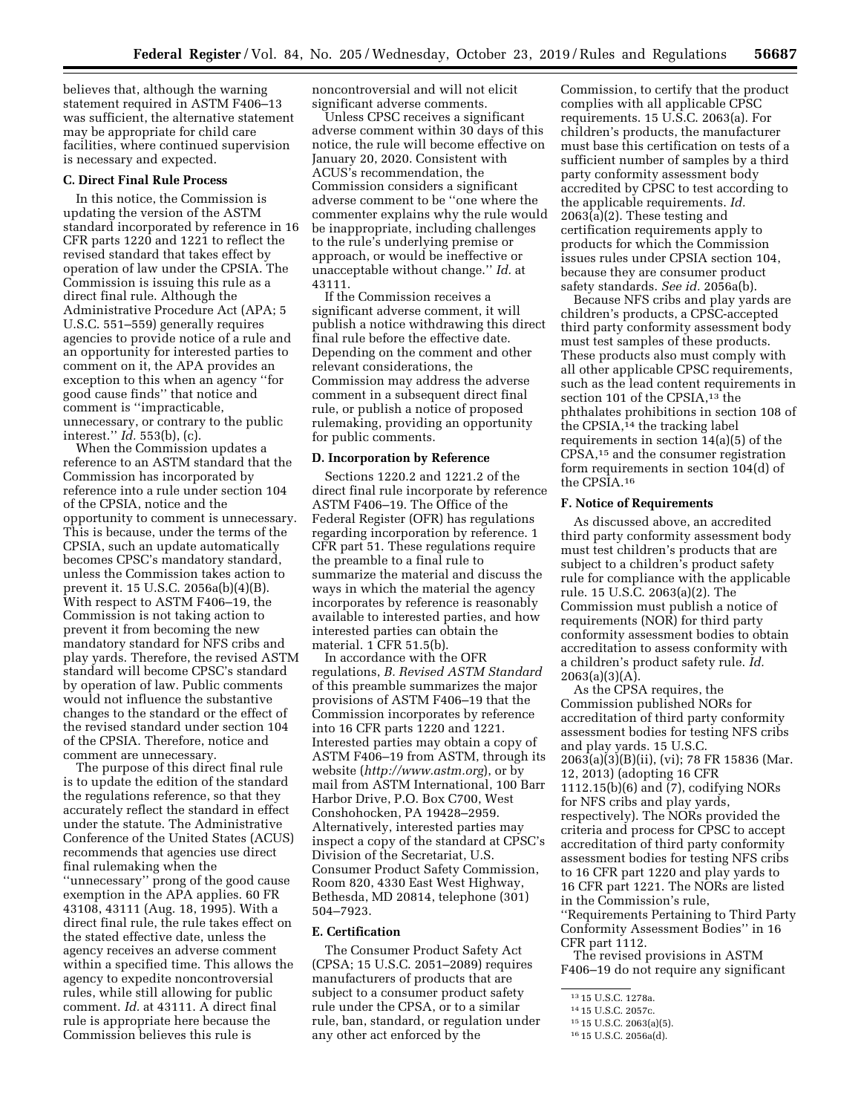believes that, although the warning statement required in ASTM F406–13 was sufficient, the alternative statement may be appropriate for child care facilities, where continued supervision is necessary and expected.

#### **C. Direct Final Rule Process**

In this notice, the Commission is updating the version of the ASTM standard incorporated by reference in 16 CFR parts 1220 and 1221 to reflect the revised standard that takes effect by operation of law under the CPSIA. The Commission is issuing this rule as a direct final rule. Although the Administrative Procedure Act (APA; 5 U.S.C. 551–559) generally requires agencies to provide notice of a rule and an opportunity for interested parties to comment on it, the APA provides an exception to this when an agency ''for good cause finds'' that notice and comment is ''impracticable, unnecessary, or contrary to the public interest.'' *Id.* 553(b), (c).

When the Commission updates a reference to an ASTM standard that the Commission has incorporated by reference into a rule under section 104 of the CPSIA, notice and the opportunity to comment is unnecessary. This is because, under the terms of the CPSIA, such an update automatically becomes CPSC's mandatory standard, unless the Commission takes action to prevent it. 15 U.S.C. 2056a(b)(4)(B). With respect to ASTM F406–19, the Commission is not taking action to prevent it from becoming the new mandatory standard for NFS cribs and play yards. Therefore, the revised ASTM standard will become CPSC's standard by operation of law. Public comments would not influence the substantive changes to the standard or the effect of the revised standard under section 104 of the CPSIA. Therefore, notice and comment are unnecessary.

The purpose of this direct final rule is to update the edition of the standard the regulations reference, so that they accurately reflect the standard in effect under the statute. The Administrative Conference of the United States (ACUS) recommends that agencies use direct final rulemaking when the ''unnecessary'' prong of the good cause exemption in the APA applies. 60 FR 43108, 43111 (Aug. 18, 1995). With a direct final rule, the rule takes effect on the stated effective date, unless the agency receives an adverse comment within a specified time. This allows the agency to expedite noncontroversial rules, while still allowing for public comment. *Id.* at 43111. A direct final rule is appropriate here because the Commission believes this rule is

noncontroversial and will not elicit significant adverse comments.

Unless CPSC receives a significant adverse comment within 30 days of this notice, the rule will become effective on January 20, 2020. Consistent with ACUS's recommendation, the Commission considers a significant adverse comment to be ''one where the commenter explains why the rule would be inappropriate, including challenges to the rule's underlying premise or approach, or would be ineffective or unacceptable without change.'' *Id.* at 43111.

If the Commission receives a significant adverse comment, it will publish a notice withdrawing this direct final rule before the effective date. Depending on the comment and other relevant considerations, the Commission may address the adverse comment in a subsequent direct final rule, or publish a notice of proposed rulemaking, providing an opportunity for public comments.

#### **D. Incorporation by Reference**

Sections 1220.2 and 1221.2 of the direct final rule incorporate by reference ASTM F406–19. The Office of the Federal Register (OFR) has regulations regarding incorporation by reference. 1 CFR part 51. These regulations require the preamble to a final rule to summarize the material and discuss the ways in which the material the agency incorporates by reference is reasonably available to interested parties, and how interested parties can obtain the material. 1 CFR 51.5(b).

In accordance with the OFR regulations, *B. Revised ASTM Standard*  of this preamble summarizes the major provisions of ASTM F406–19 that the Commission incorporates by reference into 16 CFR parts 1220 and 1221. Interested parties may obtain a copy of ASTM F406–19 from ASTM, through its website (*<http://www.astm.org>*), or by mail from ASTM International, 100 Barr Harbor Drive, P.O. Box C700, West Conshohocken, PA 19428–2959. Alternatively, interested parties may inspect a copy of the standard at CPSC's Division of the Secretariat, U.S. Consumer Product Safety Commission, Room 820, 4330 East West Highway, Bethesda, MD 20814, telephone (301) 504–7923.

## **E. Certification**

The Consumer Product Safety Act (CPSA; 15 U.S.C. 2051–2089) requires manufacturers of products that are subject to a consumer product safety rule under the CPSA, or to a similar rule, ban, standard, or regulation under any other act enforced by the

Commission, to certify that the product complies with all applicable CPSC requirements. 15 U.S.C. 2063(a). For children's products, the manufacturer must base this certification on tests of a sufficient number of samples by a third party conformity assessment body accredited by CPSC to test according to the applicable requirements. *Id.*  2063(a)(2). These testing and certification requirements apply to products for which the Commission issues rules under CPSIA section 104, because they are consumer product safety standards. *See id.* 2056a(b).

Because NFS cribs and play yards are children's products, a CPSC-accepted third party conformity assessment body must test samples of these products. These products also must comply with all other applicable CPSC requirements, such as the lead content requirements in section 101 of the CPSIA,<sup>13</sup> the phthalates prohibitions in section 108 of the CPSIA,14 the tracking label requirements in section 14(a)(5) of the CPSA,15 and the consumer registration form requirements in section 104(d) of the CPSIA.16

## **F. Notice of Requirements**

As discussed above, an accredited third party conformity assessment body must test children's products that are subject to a children's product safety rule for compliance with the applicable rule. 15 U.S.C. 2063(a)(2). The Commission must publish a notice of requirements (NOR) for third party conformity assessment bodies to obtain accreditation to assess conformity with a children's product safety rule. *Id.*  2063(a)(3)(A).

As the CPSA requires, the Commission published NORs for accreditation of third party conformity assessment bodies for testing NFS cribs and play yards. 15 U.S.C. 2063(a)(3)(B)(ii), (vi); 78 FR 15836 (Mar. 12, 2013) (adopting 16 CFR 1112.15(b)(6) and (7), codifying NORs for NFS cribs and play yards, respectively). The NORs provided the criteria and process for CPSC to accept accreditation of third party conformity assessment bodies for testing NFS cribs to 16 CFR part 1220 and play yards to 16 CFR part 1221. The NORs are listed in the Commission's rule, ''Requirements Pertaining to Third Party Conformity Assessment Bodies'' in 16 CFR part 1112.

The revised provisions in ASTM F406–19 do not require any significant

<sup>13</sup> 15 U.S.C. 1278a.

<sup>14</sup> 15 U.S.C. 2057c.

<sup>15</sup> 15 U.S.C. 2063(a)(5).

<sup>16</sup> 15 U.S.C. 2056a(d).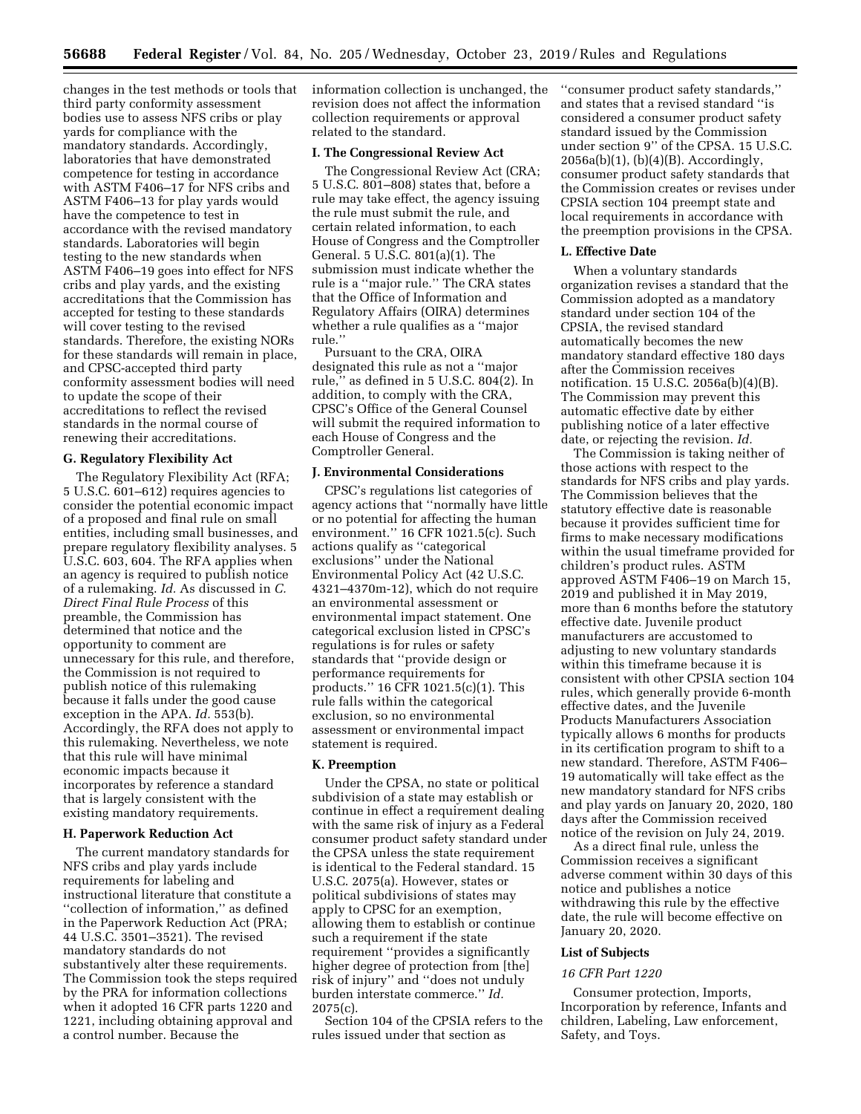changes in the test methods or tools that third party conformity assessment bodies use to assess NFS cribs or play yards for compliance with the mandatory standards. Accordingly, laboratories that have demonstrated competence for testing in accordance with ASTM F406–17 for NFS cribs and ASTM F406–13 for play yards would have the competence to test in accordance with the revised mandatory standards. Laboratories will begin testing to the new standards when ASTM F406–19 goes into effect for NFS cribs and play yards, and the existing accreditations that the Commission has accepted for testing to these standards will cover testing to the revised standards. Therefore, the existing NORs for these standards will remain in place, and CPSC-accepted third party conformity assessment bodies will need to update the scope of their accreditations to reflect the revised standards in the normal course of renewing their accreditations.

#### **G. Regulatory Flexibility Act**

The Regulatory Flexibility Act (RFA; 5 U.S.C. 601–612) requires agencies to consider the potential economic impact of a proposed and final rule on small entities, including small businesses, and prepare regulatory flexibility analyses. 5 U.S.C. 603, 604. The RFA applies when an agency is required to publish notice of a rulemaking. *Id.* As discussed in *C. Direct Final Rule Process* of this preamble, the Commission has determined that notice and the opportunity to comment are unnecessary for this rule, and therefore, the Commission is not required to publish notice of this rulemaking because it falls under the good cause exception in the APA. *Id.* 553(b). Accordingly, the RFA does not apply to this rulemaking. Nevertheless, we note that this rule will have minimal economic impacts because it incorporates by reference a standard that is largely consistent with the existing mandatory requirements.

## **H. Paperwork Reduction Act**

The current mandatory standards for NFS cribs and play yards include requirements for labeling and instructional literature that constitute a ''collection of information,'' as defined in the Paperwork Reduction Act (PRA; 44 U.S.C. 3501–3521). The revised mandatory standards do not substantively alter these requirements. The Commission took the steps required by the PRA for information collections when it adopted 16 CFR parts 1220 and 1221, including obtaining approval and a control number. Because the

information collection is unchanged, the revision does not affect the information collection requirements or approval related to the standard.

### **I. The Congressional Review Act**

The Congressional Review Act (CRA; 5 U.S.C. 801–808) states that, before a rule may take effect, the agency issuing the rule must submit the rule, and certain related information, to each House of Congress and the Comptroller General. 5 U.S.C. 801(a)(1). The submission must indicate whether the rule is a ''major rule.'' The CRA states that the Office of Information and Regulatory Affairs (OIRA) determines whether a rule qualifies as a ''major rule.''

Pursuant to the CRA, OIRA designated this rule as not a ''major rule,'' as defined in 5 U.S.C. 804(2). In addition, to comply with the CRA, CPSC's Office of the General Counsel will submit the required information to each House of Congress and the Comptroller General.

### **J. Environmental Considerations**

CPSC's regulations list categories of agency actions that ''normally have little or no potential for affecting the human environment.'' 16 CFR 1021.5(c). Such actions qualify as ''categorical exclusions'' under the National Environmental Policy Act (42 U.S.C. 4321–4370m-12), which do not require an environmental assessment or environmental impact statement. One categorical exclusion listed in CPSC's regulations is for rules or safety standards that ''provide design or performance requirements for products.'' 16 CFR 1021.5(c)(1). This rule falls within the categorical exclusion, so no environmental assessment or environmental impact statement is required.

## **K. Preemption**

Under the CPSA, no state or political subdivision of a state may establish or continue in effect a requirement dealing with the same risk of injury as a Federal consumer product safety standard under the CPSA unless the state requirement is identical to the Federal standard. 15 U.S.C. 2075(a). However, states or political subdivisions of states may apply to CPSC for an exemption, allowing them to establish or continue such a requirement if the state requirement ''provides a significantly higher degree of protection from [the] risk of injury'' and ''does not unduly burden interstate commerce.'' *Id.*  2075(c).

Section 104 of the CPSIA refers to the rules issued under that section as

''consumer product safety standards,'' and states that a revised standard ''is considered a consumer product safety standard issued by the Commission under section 9'' of the CPSA. 15 U.S.C. 2056a(b)(1), (b)(4)(B). Accordingly, consumer product safety standards that the Commission creates or revises under CPSIA section 104 preempt state and local requirements in accordance with the preemption provisions in the CPSA.

### **L. Effective Date**

When a voluntary standards organization revises a standard that the Commission adopted as a mandatory standard under section 104 of the CPSIA, the revised standard automatically becomes the new mandatory standard effective 180 days after the Commission receives notification. 15 U.S.C. 2056a(b)(4)(B). The Commission may prevent this automatic effective date by either publishing notice of a later effective date, or rejecting the revision. *Id.* 

The Commission is taking neither of those actions with respect to the standards for NFS cribs and play yards. The Commission believes that the statutory effective date is reasonable because it provides sufficient time for firms to make necessary modifications within the usual timeframe provided for children's product rules. ASTM approved ASTM F406–19 on March 15, 2019 and published it in May 2019, more than 6 months before the statutory effective date. Juvenile product manufacturers are accustomed to adjusting to new voluntary standards within this timeframe because it is consistent with other CPSIA section 104 rules, which generally provide 6-month effective dates, and the Juvenile Products Manufacturers Association typically allows 6 months for products in its certification program to shift to a new standard. Therefore, ASTM F406– 19 automatically will take effect as the new mandatory standard for NFS cribs and play yards on January 20, 2020, 180 days after the Commission received notice of the revision on July 24, 2019.

As a direct final rule, unless the Commission receives a significant adverse comment within 30 days of this notice and publishes a notice withdrawing this rule by the effective date, the rule will become effective on January 20, 2020.

### **List of Subjects**

# *16 CFR Part 1220*

Consumer protection, Imports, Incorporation by reference, Infants and children, Labeling, Law enforcement, Safety, and Toys.